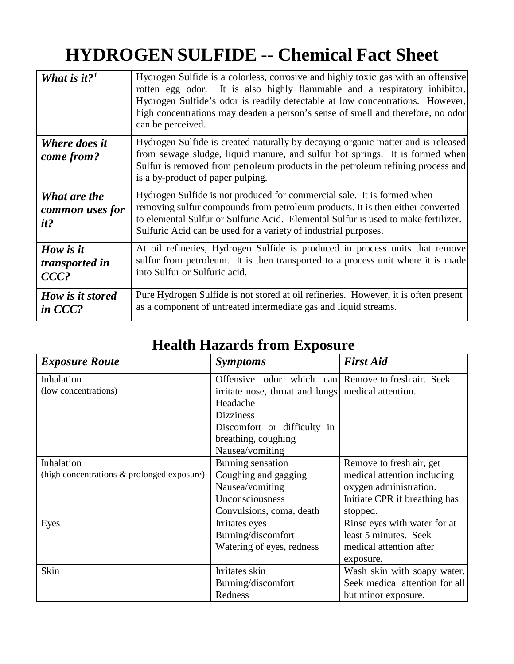## **HYDROGEN SULFIDE -- Chemical Fact Sheet**

| What is it? <sup>1</sup>               | Hydrogen Sulfide is a colorless, corrosive and highly toxic gas with an offensive<br>rotten egg odor. It is also highly flammable and a respiratory inhibitor.<br>Hydrogen Sulfide's odor is readily detectable at low concentrations. However,<br>high concentrations may deaden a person's sense of smell and therefore, no odor<br>can be perceived. |
|----------------------------------------|---------------------------------------------------------------------------------------------------------------------------------------------------------------------------------------------------------------------------------------------------------------------------------------------------------------------------------------------------------|
| Where does it<br>come from?            | Hydrogen Sulfide is created naturally by decaying organic matter and is released<br>from sewage sludge, liquid manure, and sulfur hot springs. It is formed when<br>Sulfur is removed from petroleum products in the petroleum refining process and<br>is a by-product of paper pulping.                                                                |
| What are the<br>common uses for<br>it? | Hydrogen Sulfide is not produced for commercial sale. It is formed when<br>removing sulfur compounds from petroleum products. It is then either converted<br>to elemental Sulfur or Sulfuric Acid. Elemental Sulfur is used to make fertilizer.<br>Sulfuric Acid can be used for a variety of industrial purposes.                                      |
| How is it<br>transported in<br>$CCC$ ? | At oil refineries, Hydrogen Sulfide is produced in process units that remove<br>sulfur from petroleum. It is then transported to a process unit where it is made<br>into Sulfur or Sulfuric acid.                                                                                                                                                       |
| How is it stored<br>in CCC?            | Pure Hydrogen Sulfide is not stored at oil refineries. However, it is often present<br>as a component of untreated intermediate gas and liquid streams.                                                                                                                                                                                                 |

## **Health Hazards from Exposure**

| <b>Exposure Route</b>                      | <b>Symptoms</b>                                    | <b>First Aid</b>               |
|--------------------------------------------|----------------------------------------------------|--------------------------------|
| Inhalation                                 | Offensive odor which can Remove to fresh air. Seek |                                |
| (low concentrations)                       | irritate nose, throat and lungs medical attention. |                                |
|                                            | Headache                                           |                                |
|                                            | <b>Dizziness</b>                                   |                                |
|                                            | Discomfort or difficulty in                        |                                |
|                                            | breathing, coughing                                |                                |
|                                            | Nausea/vomiting                                    |                                |
| Inhalation                                 | Burning sensation                                  | Remove to fresh air, get       |
| (high concentrations & prolonged exposure) | Coughing and gagging                               | medical attention including    |
|                                            | Nausea/vomiting                                    | oxygen administration.         |
|                                            | Unconsciousness                                    | Initiate CPR if breathing has  |
|                                            | Convulsions, coma, death                           | stopped.                       |
| Eyes                                       | Irritates eyes                                     | Rinse eyes with water for at   |
|                                            | Burning/discomfort                                 | least 5 minutes. Seek          |
|                                            | Watering of eyes, redness                          | medical attention after        |
|                                            |                                                    | exposure.                      |
| Skin                                       | Irritates skin                                     | Wash skin with soapy water.    |
|                                            | Burning/discomfort                                 | Seek medical attention for all |
|                                            | Redness                                            | but minor exposure.            |